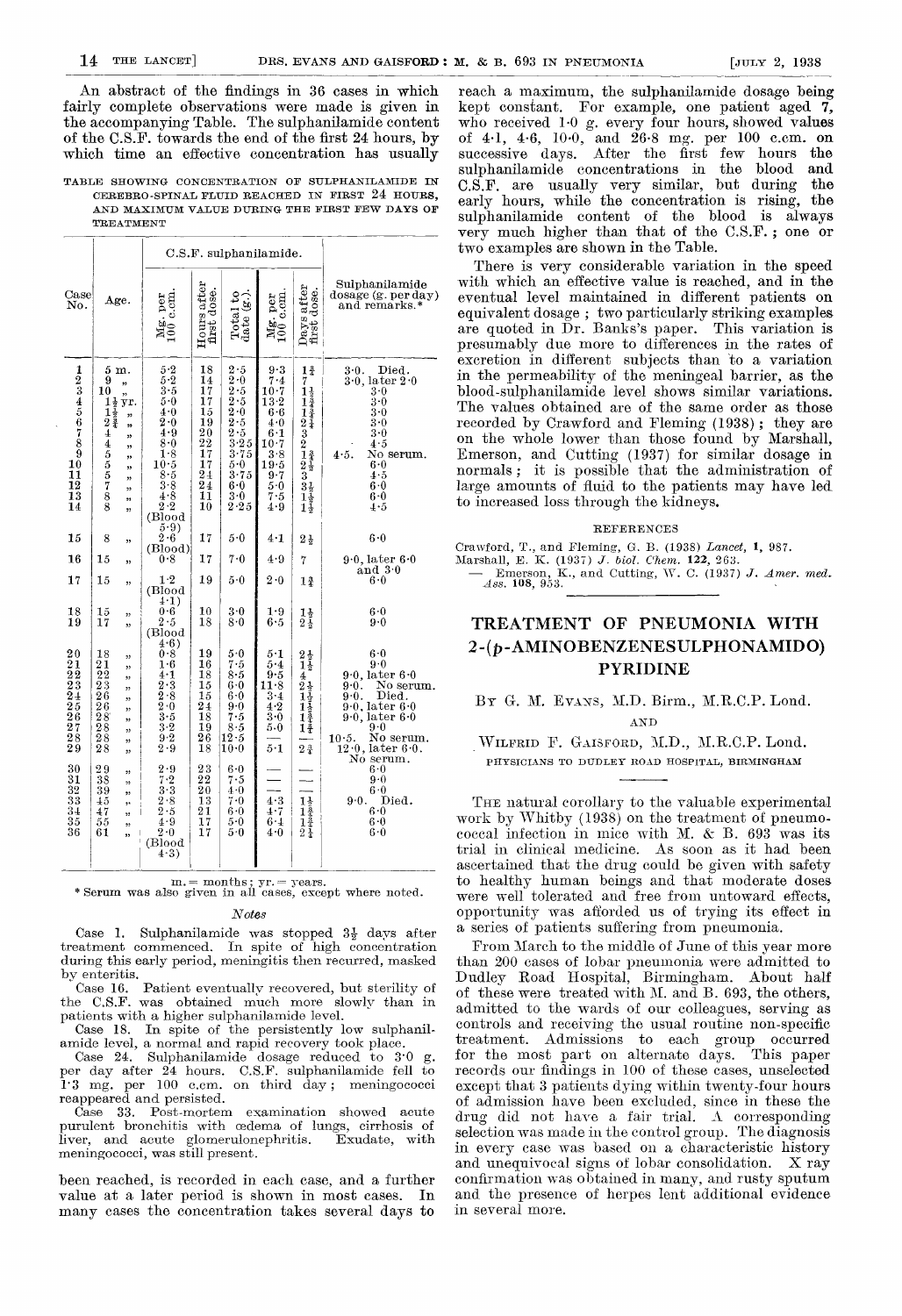An abstract of the findings in 36 cases in which fairly complete observations were made is given in the accompanying Table. The sulphanilamide content of the C.S.F. towards the end of the first 24 hours, by which time an effective concentration has usually

TABLE SHOWING CONCENTRATION OF SULPHANILAMIDE IN CEREBRO-SPINAL FLUID REACHED IN FIRST 24 HOURS, AND MAXIMUM VALUE DURING THE FIRST FEW DAYS OF TREATMENT

|                                                                                                                                                                                                                                                                                                                 |                                                                                                                                                                                                                                                                                                                |                                                                                                                                                                          |                                                                                                                                                 |                                                                                                                                                                                                                                                                                            | C.S.F. sulphanilamide.                                                                                                 |                                                                                                                                                                                |                                                                                                                                                                                                                    |
|-----------------------------------------------------------------------------------------------------------------------------------------------------------------------------------------------------------------------------------------------------------------------------------------------------------------|----------------------------------------------------------------------------------------------------------------------------------------------------------------------------------------------------------------------------------------------------------------------------------------------------------------|--------------------------------------------------------------------------------------------------------------------------------------------------------------------------|-------------------------------------------------------------------------------------------------------------------------------------------------|--------------------------------------------------------------------------------------------------------------------------------------------------------------------------------------------------------------------------------------------------------------------------------------------|------------------------------------------------------------------------------------------------------------------------|--------------------------------------------------------------------------------------------------------------------------------------------------------------------------------|--------------------------------------------------------------------------------------------------------------------------------------------------------------------------------------------------------------------|
| $_{\rm Case}$<br>No.                                                                                                                                                                                                                                                                                            | Age.                                                                                                                                                                                                                                                                                                           | $Mg.$ per $100$ c.cm.                                                                                                                                                    | Hours after<br>first dose.                                                                                                                      | Total to<br>date $(g$ .).                                                                                                                                                                                                                                                                  | $Mg.$ per $100$ c.cm.                                                                                                  | Days after<br>first dose.                                                                                                                                                      | Sulphanilamide<br>dosage (g. per day)<br>and remarks.*                                                                                                                                                             |
| 1<br>$\frac{2}{3}\frac{3}{4}\frac{4}{5}\frac{6}{6}\frac{7}{7}\frac{8}{8}\frac{9}{9}$<br>11<br>12<br>$\overline{1}\overline{3}$<br>14<br>15<br>16                                                                                                                                                                | 5 m.<br>9<br>,,<br>10<br>,<br>$\frac{1}{2}$ $\frac{1}{2}$ $\frac{1}{2}$ $\frac{1}{2}$ $\frac{1}{2}$ $\frac{1}{2}$ $\frac{1}{2}$ $\frac{1}{4}$ $\frac{1}{4}$<br>yr.<br>,,<br>$^{\circ}$<br>,,<br>$\overline{\textbf{4}}$<br>,,<br>555788<br>,,<br>33<br>$\overline{ }$<br>99<br>,,<br>,,<br>8<br>,,<br>15<br>,, | 5.2<br>$\frac{5}{3}$ . $\frac{2}{3}$<br>$5-0$<br>4.0<br>2.0<br>4.9<br>8.0<br>1.8<br>10.5<br>8.5<br>3.8<br>4.8<br>$2-2$<br>(Blood<br>5.9)<br>$2\cdot 6$<br>(Blood)<br>0.8 | 18<br>14<br>$\overline{17}$<br>17<br>15<br>19<br>$\frac{2}{2}$<br>$\frac{2}{1}$<br>$\frac{2}{7}$<br>17<br>24<br>$\frac{2}{1}$<br>10<br>17<br>17 | 2.5<br>$\overline{2}\cdot 0$<br>$2\cdot 5$<br>$2 \cdot 5$<br>2.0<br>$\frac{2 \cdot 5}{2 \cdot 5}$<br>$\frac{3 \cdot 2}{3 \cdot 7}$<br>$\frac{3 \cdot 7}{2 \cdot 5}$<br>$\overset{5}{3}\overset{.}{\cdot}\overset{.}{7} \overset{.}{5}$<br>$6 - 0$<br>3.0<br>$2\!\cdot\!25$<br>5.0<br>$7-0$ | 9·3<br>$7-4$<br>10.7<br>13.2<br>6·6<br>4.0<br>$6 - 1$<br>10.7<br>3.8<br>19.5<br>9.7<br>5·0<br>7.5<br>4.9<br>4.1<br>4.9 | 1 <u>†</u><br>$711123$<br>$23212$<br>$32123$<br>$\frac{1}{2}$<br>$\frac{3}{4}$<br>$\frac{4}{4}$<br>$\frac{3}{4}$<br>$\frac{3\frac{1}{2}}{1\frac{1}{2}}$<br>$2\frac{1}{2}$<br>7 | 3.0.<br>Died.<br>$3.0$ , later $2.0$<br>3.0<br>3.0<br>3.0<br>3·0<br>3·0<br>4.5<br>No serum.<br>4.5.<br>6·0<br>4.5<br>$6 - 0$<br>6·0<br>$4 \cdot 5$<br>6·0<br>$9.0$ , later $6.0$                                   |
| 17                                                                                                                                                                                                                                                                                                              | 15<br>33                                                                                                                                                                                                                                                                                                       | 1·2<br>(Blood                                                                                                                                                            | 19                                                                                                                                              | 5.0                                                                                                                                                                                                                                                                                        | $2\cdot 0$                                                                                                             | $1\frac{3}{4}$                                                                                                                                                                 | and $3.0$<br>6·0                                                                                                                                                                                                   |
| <b>18</b><br>19                                                                                                                                                                                                                                                                                                 | 15<br>,<br>17<br>,,                                                                                                                                                                                                                                                                                            | 4.1)<br>$0 - 6$<br>$2 \cdot 5$<br>(Blood                                                                                                                                 | 10<br>18                                                                                                                                        | 3.0<br>8·0                                                                                                                                                                                                                                                                                 | 1.9<br>6·5                                                                                                             | $\frac{1}{2}$                                                                                                                                                                  | 6.0<br>9.0                                                                                                                                                                                                         |
| $\begin{smallmatrix} 20 & 1 & 2 & 3 & 1 & 2 & 3 & 3 & 4 & 5 & 6 & 7 & 8 & 8 & 9 \ 20 & 2 & 2 & 2 & 2 & 2 & 2 & 2 & 2 \ 20 & 2 & 2 & 2 & 2 & 2 & 2 & 2 \ 20 & 2 & 2 & 2 & 2 & 2 & 2 \ 20 & 2 & 2 & 2 & 2 & 2 & 2 \ 20 & 2 & 2 & 2 & 2 & 2 & 2 \ 20 & 2 & 2 & 2 & 2 & 2 & 2 \ 20 & 2 & 2 & 2 & 2 & 2 & 2 \ 20 & $ | 122238668888<br>99<br>,,<br>99<br>55<br>,,<br>,<br>,,<br>99<br>,,<br>,,                                                                                                                                                                                                                                        | 4.6)<br>0.8<br>1·6<br>4.1<br>$\bar{2}\cdot\bar{3}$<br>2.8<br>$\frac{5}{3}$ . $\frac{0}{3}$<br>$\frac{5}{3}$ .2<br>9.2<br>$2 \cdot 9$                                     | $\frac{19}{16}$<br>$\frac{18}{15}$<br>$\frac{15}{218}$<br>$\frac{18}{26}$<br>18                                                                 | 5.0<br>7.5<br>8·5<br>$\mathbf{0} \cdot \mathbf{0}$<br>6.0<br>9·0<br>7.5<br>8.5<br>$12-5$<br>10.0                                                                                                                                                                                           | 5.1<br>5.4<br>9.5<br>$11-8$<br>3.4<br>4·2<br>3·0<br>5.0<br>$5-1$                                                       | $2\frac{1}{2}$<br>$1\frac{1}{2}$<br>$\boldsymbol{4}$<br>$21$ $1$ $1$ $1$ $1$ $1$<br>$2\frac{3}{4}$                                                                             | 6.0<br>9·0<br>$9.0$ , later $6.0$<br>No serum.<br>9.0.<br>$\mathop{\mathrm{Died}}$ .<br>9.0.<br>$9.0$ , later $6.0$<br>$9.0$ , later $6.0$<br>9.0<br>No serum.<br>10.5.<br>$12\!\cdot\! 0$ , later 6 $\cdot\! 0$ . |
| 30<br>$\bar{\bf 31}$<br>$\overline{3}\overline{2}$<br>$\overline{33}$<br>$\overline{34}$<br>$\bar{3}\bar{5}$<br>36                                                                                                                                                                                              | $\frac{29}{38}$<br>,,<br>$\overline{\phantom{a}}$<br>39<br>,,<br>$\pm 5$<br>,,<br>$\overline{47}$<br>,,<br>55<br>93<br>61<br>,,                                                                                                                                                                                | $2\cdot 9$<br>7.2<br>$3\cdot\overline{3}$<br>2.8<br>$\tilde{2}\cdot\check{5}$<br>4.9<br>2.0<br>(Blood<br>4.3)                                                            | 23<br>$\bar{2}\bar{2}$<br>20<br>13<br>$\tilde{2}\tilde{1}$<br>17<br>17                                                                          | 6.0<br>7.5<br>4.0<br>$7\cdot 0$<br>6·0<br>5.0<br>5.0                                                                                                                                                                                                                                       | 4.3<br>4.7<br>6·1<br>4.0                                                                                               | $1\frac{1}{2}$<br>$1\frac{3}{4}$<br>$1\frac{3}{4}$<br>$1\frac{1}{4}$                                                                                                           | No serum.<br>6·0<br>$9-0$<br>$6\negmedspace\negmedspace\cdot 0$<br>9.0.<br>Died.<br>6·0<br>$6 - 0$<br>6·0                                                                                                          |

m. = months; yr. = years.<br>\* Serum was also given in all cases, except where noted.

### $N$ otes

Case 1. Sulphanilamide was stopped  $3\frac{1}{2}$  days after treatment commenced. In spite of high concentration during this early period, meningitis then recurred, masked by enteritis.

Case 16. Patient eventually recovered, but sterility of the C.S.F. was obtained much more slowly than in patients with a higher sulphanilamide level.

Case 18. In spite of the persistently low sulphanil- amide level, a normal and rapid recovery took place.

Case 24. Sulphanilamide dosage reduced to 3'0 g. per day after 24 hours. C.S.F. sulphanilamide fell to 1'3 mg. per 100 c.cm. on third day ; meningococci reappeared and persisted.

Case 33. Post-mortem examination showed acute purulent bronchitis with œdema of lungs, cirrhosis of<br>liver, and acute glomerulonephritis. Exudate, with liver, and acute glomerulonephritis. meningococci, was still present.

been reached, is recorded in each case, and a further value at a later period is shown in most cases. In many cases the concentration takes several days to

reach a maximum, the sulphanilamide dosage being kept constant. For example, one patient aged 7, who received  $1.0$  g. every four hours, showed values of 4.1, 4-6, 10,0, and 26.8 mg. per 100 c.cm. on successive days. After the first few hours the sulphanilamide concentrations in the blood and C.S.F. are usually very similar, but during the early hours, while the concentration is rising, the sulphanilamide content of the blood is always very much higher than that of the C.S.F. ; one or two examples are shown in the Table.

There is very considerable variation in the speed with which an effective value is reached, and in the eventual level maintained in different patients on are quoted in Dr. Banks's paper. This variation is presumably due more to differences in the rates of excretion in different subjects than to a variation in the permeability of the meningeal barrier, as the blood-sulphanilamide level shows similar variations. The values obtained are of the same order as those recorded by Crawford and Fleming (1938) ; they are on the whole lower than those found by Marshall, Emerson, and Cutting (1937) for similar dosage in normals ; it is possible that the administration of large amounts of fluid to the patients may have led to increased loss through the kidneys.

#### REFERENCES

Crawford, T., and Fleming, G. B. (1938) Lancet, 1, 987. Marshall, E. K. (1937) J. biol. Chem. 122, 263.<br>
— Emerson, K., and Cutting, W. C. (1937) J. Amer. med.<br>
Ass. 108, 953.

# TREATMENT OF PNEUMONIA WITH 2-(p-AMINOBENZENESULPHONAMIDO) PYRIDINE

## BY G. M. EVANS, M.D. Birm., M.R.C.P. Lond. AND

WILFRID F. GAISFORD, M.D., M.R.C.P. Lond. PHYSICIANS TO DUDLEY ROAD HOSPITAL, BIRMINGHAM

THE natural corollary to the valuable experimental work by Whitby (1938) on the treatment of pneumococcal infection in mice with M. & B. 693 was its trial in clinical medicine. As soon as it had been ascertained that the drug could be given with safety to healthy human beings and that moderate doses were well tolerated and free from untoward effects, opportunity was afforded us of trying its effect in a series of patients suffering from pneumonia.

From March to the middle of June of this year more than 200 cases of lobar pneumonia were admitted to Dudley Road Hospital, Birmingham. About half of these were treated with M. and B. 693, the others, admitted to the wards of our colleagues, serving as controls and receiving the usual routine non-specific treatment. Admissions to each group occurred for the most part on alternate days. This paper records our findings in 100 of these cases, unselected except that 3 patients dying within twenty-four hours of admission have been excluded, since in these the drug did not have a fair trial. A corresponding selection was made in the control group. The diagnosis in every case was based on a characteristic history and unequivocal signs of lobar consolidation. X ray confirmation was obtained in many, and rusty sputum and the presence of herpes lent additional evidence in several more.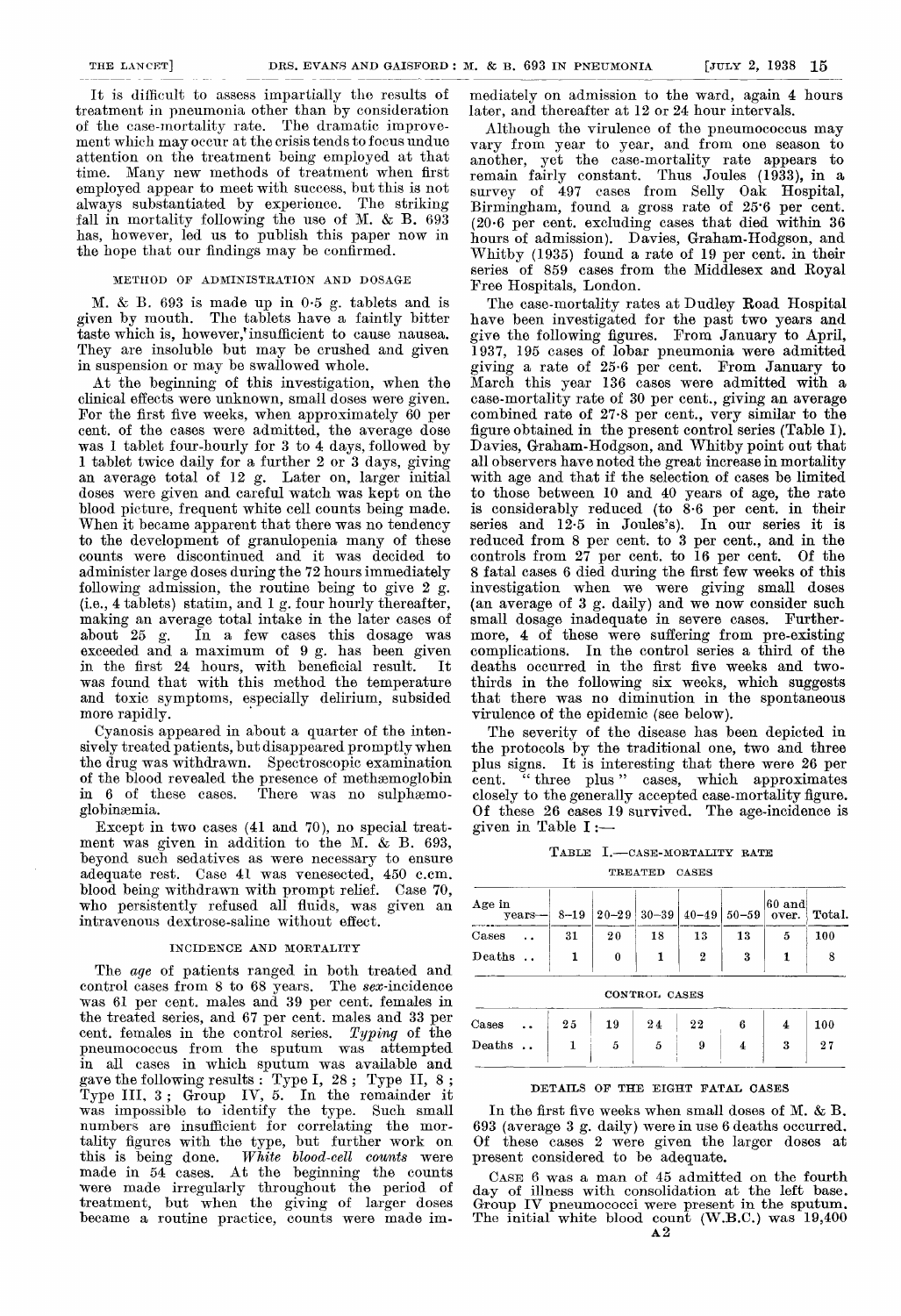It is difficult to assess impartially the results of treatment in pneumonia other than by consideration of the case-mortality rate. The dramatic improvement which may occur at the crisis tends to focus undue attention on the treatment being employed at that time. Many new methods of treatment when first employed appear to meet with success, but this is not always substantiated by experience. The striking fall in mortality following the use of M. & B. 693 has, however, led us to publish this paper now in the hope that our findings may be confirmed.

### METIIOD OF ADMINISTRATION AND DOSAGE

M. & B. 693 is made up in 0.5 g. tablets and is given by mouth. The tablets have a faintly bitter taste which is, however, insufficient to cause nausea. They are insoluble but may be crushed and given in suspension or may be swallowed whole.

At the beginning of this investigation, when the clinical effects were unknown, small doses were given. For the first five weeks, when approximately 60 per cent. of the cases were admitted, the average dose was 1 tablet four-hourly for 3 to 4 days, followed by 1 tablet twice daily for a further 2 or 3 days, giving an average total of 12 g. Later on, larger initial doses were given and careful watch was kept on the blood picture, frequent white cell counts being made. When it became apparent that there was no tendency to the development of granulopenia many of these counts were discontinued and it was decided to administer large doses during the 72 hours immediately following admission, the routine being to give 2 g. (i.e., 4 tablets) statim, and 1 g. four hourly thereafter, making an average total intake in the later cases of about 25 g. In a few cases this dosage was exceeded and a maximum of 9 g. has been given in the first 24 hours, with beneficial result. It was found that with this method the temperature and toxic symptoms, especially delirium, subsided more rapidly.

Cyanosis appeared in about a quarter of the intensively treated patients, but disappeared promptly when the drug was withdrawn. Spectroscopic examination of the blood revealed the presence of methaemoglobin in 6 of these cases. There was no sulphaemoglobinaemia.

Except in two cases (41 and 70), no special treatment was given in addition to the M. & B. 693, beyond such sedatives as were necessary to ensure adequate rest. Case 41 was venesected, 450 c.cm. blood being withdrawn with prompt relief. Case 70, who persistently refused all fluids, was given an intravenous dextrose-saline without effect.

### INCIDENCE AND MORTALITY

The age of patients ranged in both treated and control cases from 8 to 68 years. The sex-incidence was 61 per cent. males and 39 per cent. females in the treated series, and 67 per cent. males and 33 per cent. females in the control series. Typing of the pneumococcus from the sputum was attempted in all cases in which sputum was available and gave the following results : Type I, 28 ; Type II, 8 ; Type III, 3; Group IV, 5. In the remainder it was impossible to identify the type. Such small numbers are insufficient for correlating the mortality figures with the type, but further work on  $\quad$  this is being done. White blood-cell counts were made in 54 cases. At the beginning the counts were made irregularly throughout the period of treatment, but when the giving of larger doses became a routine practice, counts were made im-

mediately on admission to the ward, again 4 hours later, and thereafter at 12 or 24 hour intervals.

Although the virulence of the pneumococcus may vary from year to year, and from one season to another, yet the case-mortality rate appears to remain fairly constant. Thus Joules (1933), in a survey of 497 cases from Selly Oak Hospital, Birmingham, found a gross rate of 25.6 per cent. (20.6 per cent. excluding cases that died within 36 hours of admission). Davies, Graham-Hodgson, and Whitby (1935) found a rate of 19 per cent. in their series of 859 cases from the Middlesex and Royal Free Hospitals, London.

The case-mortality rates at Dudley Road Hospital have been investigated for the past two years and give the following figures. From January to April, 1937, 195 cases of lobar pneumonia were admitted giving a rate of 25-6 per cent. From January to March this year 136 cases were admitted with a case-mortality rate of 30 per cent., giving an average combined rate of 27-8 per cent., very similar to the figure obtained in the present control series (Table I). Davies, Graham-Hodgson, and Whitby point out that all observers have noted the great increase in mortality with age and that if the selection of cases be limited to those between 10 and 40 years of age, the rate is considerably reduced (to  $8.6$  per cent. in their series and 12.5 in Joules's). In our series it is reduced from 8 per cent. to 3 per cent., and in the controls from 27 per cent. to 16 per cent. Of the 8 fatal cases 6 died during the first few weeks of this investigation when we were giving small doses (an average of 3 g. daily) and we now consider such small dosage inadequate in severe cases. Furthermore, 4 of these were suffering from pre-existing complications. In the control series a third of the deaths occurred in the first five weeks and twothirds in the following six weeks, which suggests that there was no diminution in the spontaneous virulence of the epidemic (see below).

The severity of the disease has been depicted in the protocols by the traditional one, two and three plus signs. It is interesting that there were 26 per cent. "three plus" cases. which approximates " three plus " cases, which approximates closely to the generally accepted case-mortality figure. Of these 26 cases 19 survived. The age-incidence is given in Table  $I :=$ 

TABLE I.-CASE-MORTALITY RATE TREATED CASES

| Age in | $vears$ — | $8 - 19$ | $20 - 29$ | $30 - 39$    | $40 - 49$        | $50 - 59$               | $60$ and<br>over. | Total. |
|--------|-----------|----------|-----------|--------------|------------------|-------------------------|-------------------|--------|
| Cases  |           | 31       | 20        | 18           | 13               | 13                      | 5                 | 100    |
| Deaths |           | 1        | $\bf{0}$  | $\mathbf{1}$ | $\boldsymbol{2}$ | 3                       | 1                 | -8     |
| Cases  | $\cdot$ . | 25       | 19        | 24           | 22               | 6                       | 4                 | 100    |
|        |           |          |           |              |                  |                         |                   |        |
|        | Deaths    | 1        | 5         | - 5          | 9                | $\overline{\mathbf{4}}$ | 3                 | 27     |

In the first five weeks when small doses of M. & B. 693 (average 3 g. daily) were in use 6 deaths occurred. Of these cases 2 were given the larger doses at present considered to be adequate.

CASE 6 was a man of 45 admitted on the fourth day of illness with consolidation at the left base. Group IV pneumococci were present in the sputum. The initial white blood count (W.B.C.) was 19,400  $\mathbf{A}2$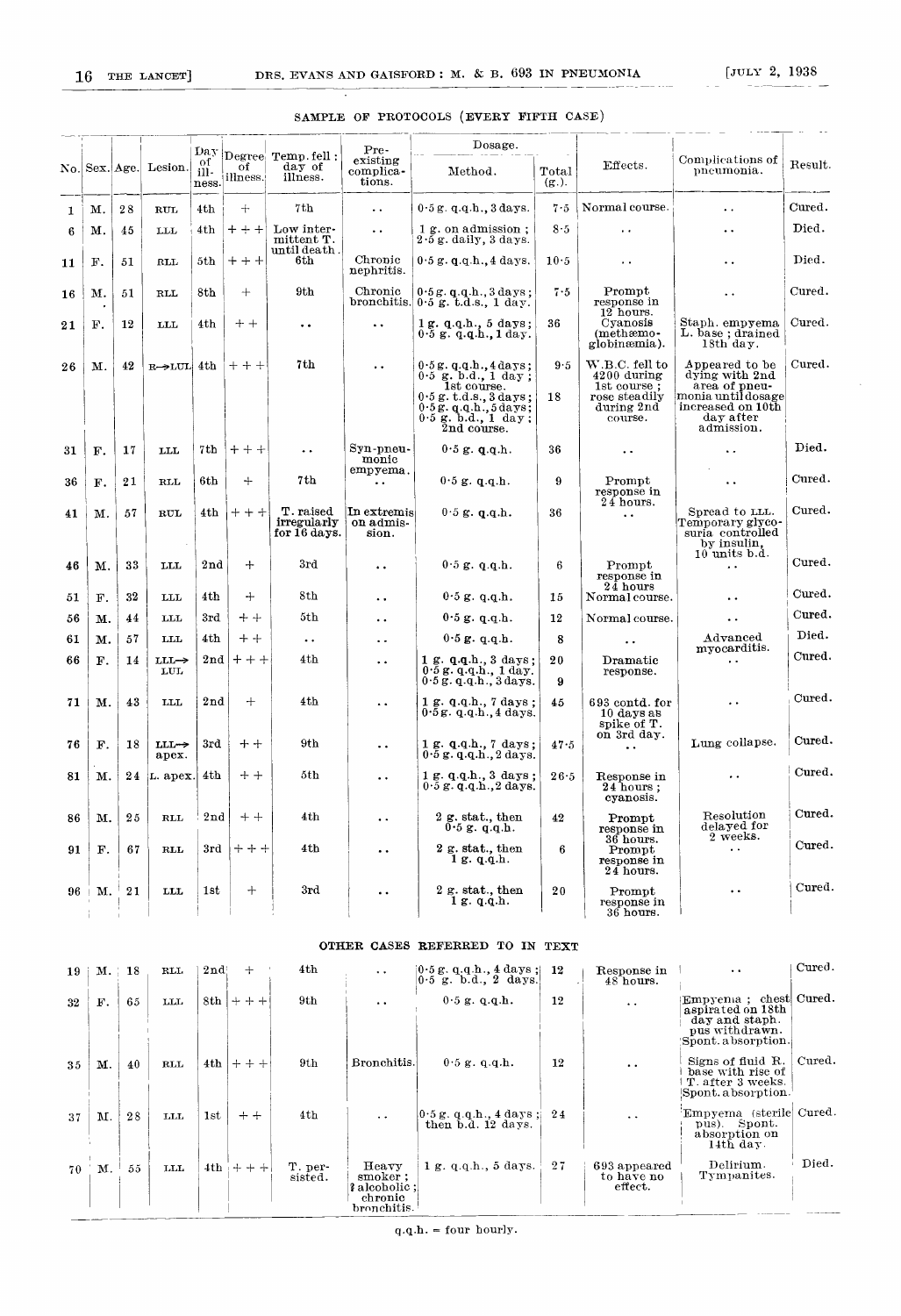$\overline{a}$ 

# SAMPLE OF PROTOCOLS (EVERY FIFTH CASE)

|              |                |               |                            |                            |                                   |                                          | Pre-                                         | Dosage.                                                                                                                                                                              |                |                                                                                          |                                                                                                                                |         |
|--------------|----------------|---------------|----------------------------|----------------------------|-----------------------------------|------------------------------------------|----------------------------------------------|--------------------------------------------------------------------------------------------------------------------------------------------------------------------------------------|----------------|------------------------------------------------------------------------------------------|--------------------------------------------------------------------------------------------------------------------------------|---------|
|              |                | No. Sex. Age. | Lesion.                    | Day<br>оf<br>ill-<br>ness. | оf<br>illness.                    | Degree Temp.fell:<br>day of<br>illness.  | existing<br>complica-<br>tions.              | Method.                                                                                                                                                                              | Total<br>(g.). | Effects.                                                                                 | Complications of<br>pneumonia.                                                                                                 | Result. |
| $\mathbf{1}$ | м.             | $2\,8$        | <b>RUL</b>                 | 4th                        | $+$                               | 7th                                      | $\ddot{\phantom{0}}$                         | 0.5g. q.q.h., 3 days.                                                                                                                                                                | 7.5            | Normal course.                                                                           |                                                                                                                                | Cured.  |
| 6            | М.             | 45            | LLL                        | 4th                        | $+ + +$                           | Low inter-<br>mittent T.                 | $\ddot{\phantom{a}}$ .                       | 1 g. on admission;<br>$2.5$ g. daily, $3$ days.                                                                                                                                      | 8.5            | $\bullet$ $\bullet$                                                                      | . .                                                                                                                            | Died.   |
| 11           | F.             | 51            | <b>RLL</b>                 | 5th                        | $++$                              | until death.<br>6th                      | Chronic<br>nephritis.                        | $0.5$ g.q.q.h., 4 days.                                                                                                                                                              | 10.5           | $\ddot{\phantom{1}}$ .                                                                   | $\ddot{\phantom{0}}$                                                                                                           | Died.   |
| 16           | м.             | 51            | RLL                        | 8th                        | $^{+}$                            | 9th                                      | Chronic                                      | $0.5g$ .q.q.h., $3 days$ ;<br>bronchitis. $0.5$ g. t.d.s., 1 day.                                                                                                                    | 7.5            | Prompt<br>response in<br>$12$ hours.                                                     | $\ddot{\phantom{1}}$                                                                                                           | Cured.  |
| 21           | $\mathbf{F}$ . | 12            | LLL                        | 4th                        | $\boldsymbol{+}$ $\boldsymbol{+}$ | $\ddot{\phantom{1}}$                     | $\ddot{\phantom{1}}$                         | 1 g. q.q.h., 5 days;<br>$0.5$ g. q.q.h., 1 day.                                                                                                                                      | 36             | Cyanosis<br>(methæmo-<br>globinemia).                                                    | Staph. empyema<br>L. base; drained<br>18th day.                                                                                | Cured.  |
| 26           | м.             | 42            | $R \rightarrow LUL$        | 4th                        | $++$ $+$                          | 7th                                      | $\bullet$ $\bullet$                          | 0.5g. q.q.h., 4 days;<br>$0.5$ g. b.d., 1 day;<br>1st course.<br>$0.5$ g.t.d.s., $3$ days;<br>$0.5g. q.q.h.$ , $5days;$<br>$0.5$ g. b.d., 1 day;<br>$2\mathrm{nd}\ \mathrm{course}.$ | 9.5<br>18      | W.B.C. fell to<br>$4200$ during<br>1st course;<br>rose steadily<br>during 2nd<br>course. | Appeared to be<br>dying with 2nd<br>area of pneu-<br>monia until dosage<br>increased on 10th<br>$\frac{day}{dx}$<br>admission. | Cured.  |
| 31           | F.             | 17            | LLL                        | 7th                        | $+ + +$                           | $\ddot{\bullet}$                         | $Syn$ -pneu-<br>monic<br>empyema.            | $0.5$ g. q.q.h.                                                                                                                                                                      | 36             | $\ddot{\phantom{1}}$                                                                     | $\ddot{\phantom{1}}$                                                                                                           | Died.   |
| 36           | F.             | 21            | RLL                        | 6th                        | $^{+}$                            | 7th                                      | $\ddot{\phantom{a}}$                         | $0.5$ g. q.q.h.                                                                                                                                                                      | 9              | Prompt<br>response in<br>24 hours.                                                       | $\bullet$ $\bullet$                                                                                                            | Cured.  |
| 41           | м.             | 57            | <b>RUL</b>                 | 4th                        | $+ + +$                           | T. raised<br>irregularly<br>for 16 days. | In extremis<br>on admis-<br>sion.            | $0.5$ g. q.q.h.                                                                                                                                                                      | 36             | $\ddot{\phantom{a}}$                                                                     | Spread to LLL.<br>Temporary glyco-<br>suria controlled<br>by insulin,<br>$10$ units b.d.                                       | Cured.  |
| 46           | M.             | 33            | LLL                        | 2nd                        | $^{+}$                            | 3rd                                      | $\bullet\hspace{0.4mm}\bullet\hspace{0.4mm}$ | $0.5$ g. q.q.h.                                                                                                                                                                      | 6              | Prompt<br>response in<br>$24$ hours                                                      |                                                                                                                                | Cured.  |
| 51           | F.             | 32            | LLL                        | 4th                        | $+$                               | 8th                                      | $\bullet$ .                                  | $0.5$ g.q.q.h.                                                                                                                                                                       | 15             | Normal course.                                                                           | $\ddot{\phantom{1}}$                                                                                                           | Cured.  |
| 56           | M.             | 44            | LLL                        | 3rd                        | $+ +$                             | 5th                                      | $\ddot{\phantom{0}}$                         | $0.5$ g. q.q.h.                                                                                                                                                                      | 12             | Normal course.                                                                           | $\ddot{\phantom{0}}$                                                                                                           | Cured.  |
| 61           | М.             | 57            | LLL                        | 4th                        | $+ +$                             | $\ddot{\phantom{0}}$                     | $\ddot{\phantom{1}}$                         | $0.5$ g. q.q.h.                                                                                                                                                                      | 8              | $\ddot{\phantom{0}}$                                                                     | $\Lambda$ dvanced<br>myocarditis.                                                                                              | Died.   |
| 66           | F.             | 14            | LLL-><br>LUL               | $2nd$ $\mid$               | $+ + +$                           | 4th                                      | $\ddot{\phantom{0}}$                         | 1 g. q.q.h., 3 days;<br>$0.5$ g. q.q.h., 1 day.<br>$0.5$ g. q.q.h., $3$ days.                                                                                                        | $20\,$<br>9    | Dramatic<br>response.                                                                    | $\ddot{\phantom{1}}$                                                                                                           | Cured.  |
| 71           | м.             | 43            | LLL                        | $2\mathrm{nd}$             | $+$                               | 4th                                      | $\bullet$ $\bullet$                          | 1 g. q.q.h., 7 days;<br>0.5g. q.q.h., 4 days.                                                                                                                                        | 45             | 693 contd. for<br>$10 \ \mathrm{days}$ as<br>spike of T.                                 | $\sim$                                                                                                                         | Cured.  |
| 76           | F.             | 18            | $LLL \rightarrow$<br>apex. | 3rd                        | $++$                              | 9th                                      | $\ddot{\phantom{1}}$                         | 1 g. q. q.h., 7 days;<br>$0.5$ g.q.q.h., $2$ days.                                                                                                                                   | 47.5           | on 3rd day.<br>$\ddot{\phantom{1}}$                                                      | Lung collapse.                                                                                                                 | Cured.  |
| 81           | м.             |               | 24  L. apex.   $4th$       |                            | $+ +$                             | 5th                                      | $\ddot{\phantom{1}}$                         | 1 g. q.q.h., 3 days;<br>$0.5$ g.q.q.h., $2$ days.                                                                                                                                    | 26.5           | Response in<br>$24\;{\rm hours}$ ;<br>cyanosis.                                          | $\ddot{\phantom{0}}$                                                                                                           | Cured.  |
| 86           | м.             | $25\,$        | RLL                        | 2nd                        | $++$                              | 4th                                      | $\ddot{\phantom{1}}$                         | $2$ g. stat., then<br>$0.5$ g. q.q.b.                                                                                                                                                | 42             | Prompt<br>response in                                                                    | Resolution<br>delayed for<br>2 weeks.                                                                                          | Cured.  |
| 91           | F.             | 67            | <b>RLL</b>                 | 3rd                        | $++$                              | 4th                                      | $\ddot{\phantom{1}}$                         | 2 g. stat., then<br>1 g. q. q.h.                                                                                                                                                     | 6              | 36 hours.<br>Prompt<br>response in<br>$24$ hours.                                        | $\sim$ $\sim$                                                                                                                  | Cured.  |
| 96           | M.             | 21            | LLL                        | 1st                        | $+$                               | 3rd                                      | $\bullet$ $\bullet$                          | 2 g. stat., then<br>1 g. q.q.h.                                                                                                                                                      | $20\,$         | $\mathbf{Promot}$<br>response in<br>$36$ hours.                                          | $\bullet$ $\bullet$                                                                                                            | Cured   |

# OTHER CASES REFERRED TO IN TEXT

| 19    | M. 18          |    | RLL        | 2nd | $+$         | 4th                | $\ddot{\bullet}$                                               | $ 0.5 \text{ g. q.} q. h., 4 \text{ days };$<br>$0.5$ g. b.d., 2 days. | 12 | Response in<br>48 hours.              | $\ddot{\phantom{a}}$                                                                                  | Cured. |
|-------|----------------|----|------------|-----|-------------|--------------------|----------------------------------------------------------------|------------------------------------------------------------------------|----|---------------------------------------|-------------------------------------------------------------------------------------------------------|--------|
| 32    | $\mathbf{F}$ . | 65 | LLL        | 8th | $+ + +$     | 9th                | $\bullet$                                                      | $0.5$ g. q.q.h.                                                        | 12 | $\cdot$ .                             | Empyema ; chest Cured.<br>aspirated on 18th<br>day and staph.<br>pus withdrawn.<br>Spont. absorption. |        |
| 35    | М.             | 40 | <b>RLL</b> | 4th | $+ + +$     | 9th                | Bronchitis.                                                    | $0.5$ g. q.q.h.                                                        | 12 | $\bullet$ $\bullet$                   | Signs of fluid R.<br>base with rise of<br>T. after 3 weeks.<br>Spont absorption.                      | Cured. |
| 37    | M.             | 28 | LLL        | 1st | $+ +$       | 4th                | $\ddot{\phantom{0}}$                                           | $0.5$ g.q.q.h., 4 days;<br>then b.d. 12 days.                          | 24 | $\ddot{\phantom{1}}$                  | Empyema (sterile)<br>pus). Spont.<br>absorption on<br>14th day.                                       | Cured. |
| $70-$ | Μ.             | 55 | LLL        |     | $4th + + +$ | T. per-<br>sisted. | $\rm Heary$<br>smoker:<br>alcoholic;<br>chronic<br>bronchitis. | 1 g. q.q.h., 5 days.                                                   | 27 | 693 appeared<br>to have no<br>effect. | Delirium.<br>Tympanites.                                                                              | Died.  |

 $q.q.h. = four hourly.$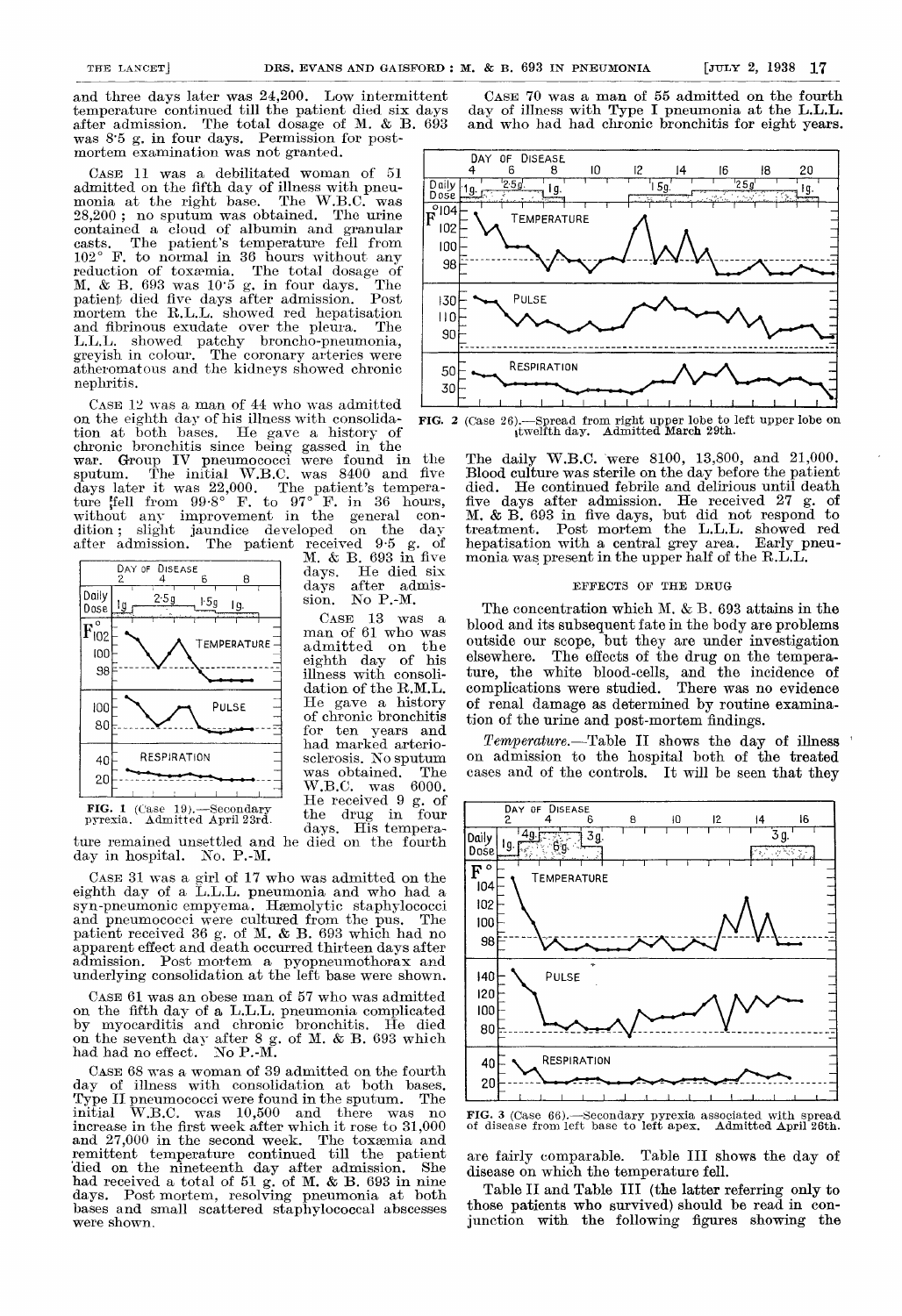and three days later was 24,200. Low intermittent temperature continued till the patient died six days after admission. The total dosage of M. & B. 693 was  $8.5$  g. in four days. Permission for postmortem examination was not granted.

CASE 11 was a debilitated woman of 51 admitted on the fifth day of illness with pneumonia at the right base. The W.B.C. was z8,200 ; no sputum was obtained. The urine contained a cloud of albumin and granular casts. The patient's temperature fell from 102° F. to normal in 36 hours without any reduction of toxaemia. The total dosage of M. & B. 693 was 10'5 g. in four days. The patient died five days after admission. Post mortem the R.L.L. showed red hepatisation and fibrinous exudate over the pleura. The L.L.L. showed patchy broncho-pneumonia, greyish in colour. The coronary arteries were atheromatous and the kidneys showed chronic nephritis.

CASE 12 was a man of 44 who was admitted on the eighth day of his illness with consolidation at both bases. He gave a history of

chronic bronchitis since being gassed in the war. Group IV pneumococci were found in the sputum. The initial W.B.C. was 8400 and five days later it was 22,000. The patient's tempera- $\textrm{ture}$   $\textrm{frell}$  from  $99.8^{\circ}$  F. to  $97^{\circ}$  F. in  $36$  hours, without any improvement in the general condition ; slight jaundice developed on the day after admission. The patient received 9-5 g. of M. & B. 693 in five<br>days. He died six

days. He died six<br>days after admisdays after admission. No P.-M. No P.-M. CASE 13 was a man of 61 who was admitted on the eighth day of his illness with consolidation of the R.M.L. He gave a history of chronic bronchitis for ten years and had marked arteriosclerosis. No sputum was obtained. The W.B.C. was 6000. .tie receIvea u g. 01



pyrexia. FIG. 1 (Case

days. His temperature remained unsettled and he died on the fourth day in hospital. No. P.-M.

CASE 31 was a girl of 17 who was admitted on the eighth day of a L.L.L. pneumonia and who had a syn-pneumonic empyema. Hæmolytic staphylococci and pneumococci were cultured from the pus. The patient received 36 g. of M. & B. 693 which had no apparent effect and death occurred thirteen days after admission. Post mortem a pyopneumothorax and underlying consolidation at the left base were shown.

CASE 61 was an obese man of 57 who was admitted on the fifth day of a L.L.L. pneumonia complicated by myocarditis and chronic bronchitis. He died on the seventh day after 8 g. of M. & B. 693 which had had no effect. No  $P.-M$ .

CASE 68 was a woman of 39 admitted on the fourth day of illness with consolidation at both bases.<br>Type II pneumococci were found in the sputum. The Type II pneumococci were found in the sputum. The initial W.B.C. was 10,500 and there was no increase in the first week after which it rose to 31,000 and 27,000 in the second week. The toxamia and remittent temperature continued till the patient remittent temperature continued till the patient died on the nineteenth day after admission. She had received a total of 51 g. of M. & B. 693 in nine days. Post mortem, resolving pneumonia at both bases and small scattered staphylococcal abscesses were shown.

CASE 70 was a man of 55 admitted on the fourth day of illness with Type I pneumonia at the L.L.L. and who had had chronic bronchitis for eight years.



FIG. 2 (Case 26).-Spread from right upper lobe to left upper lobe on ,twelfth day. Admitted March 29th.

The daily W.B.C. were 8100, 13,800, and 21,000. Blood culture was sterile on the day before the patient died. He continued febrile and delirious until death five days after admission. He received 27 g. of M. & B. 693 in five days, but did not respond to treatment. Post mortem the L.L.L. showed red hepatisation with a central grey area. Early pneu- $\text{monia was present in the upper half of the R.L.L.}$ 

#### EFFECTS OF THE DRUG

The concentration which M.  $\&$  B. 693 attains in the bood and its subsequent fate in the body are problems outside our scope, but they are under investigation elsewhere. The effects of the drug on the temperature, the white blood-cells, and the incidence of complications were studied. There was no evidence of renal damage as determined by routine examination of the urine and post-mortem findings.

Temperature.-Table II shows the day of illness on admission to the hospital both of the treated cases and of the controls. It will be seen that they



FIG. 3 (Case 66).—Secondary pyrexia associated with spread of disease from left base to left apex. Admitted April 26th.

are fairly comparable. Table III shows the day of disease on which the temperature fell.

Table II and Table III (the latter referring only to those patients who survived) should be read in conjunction with the following figures showing the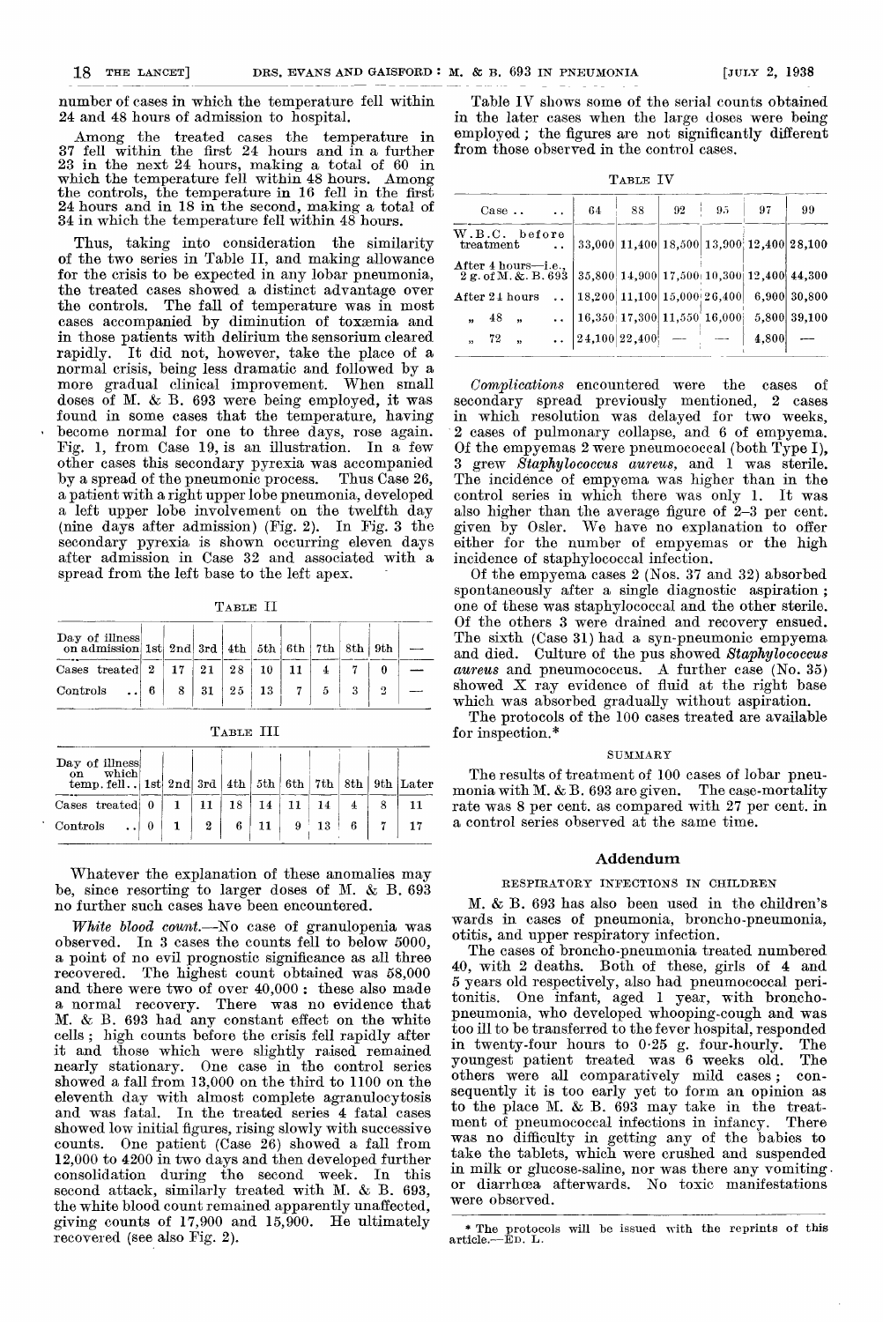number of cases in which the temperature fell within 24 and 48 hours of admission to hospital.

Among the treated cases the temperature in 37 fell within the first 24 hours and in a further 23 in the next 24 hours, making a total of 60 in which the temperature fell within 48 hours. Among the controls, the temperature in 16 fell in the first 24 hours and in 18 in the second, making a total of 34 in which the temperature fell within 48 hours.

Thus, taking into consideration the similarity of the two series in Table II, and making allowance for the crisis to be expected in any lobar pneumonia, the treated cases showed a distinct advantage over the controls. The fall of temperature was in most cases accompanied by diminution of toxaemia and in those patients with delirium the sensorium cleared rapidly. It did not, however, take the place of a normal crisis, being less dramatic and followed by a more gradual clinical improvement. When small doses of M. & B. 693 were being employed, it was found in some cases that the temperature, having become normal for one to three days, rose again. Fig. 1, from Case 19, is an illustration. In a few other cases this secondary pyrexia was accompanied<br>by a spread of the pneumonic process. Thus Case 26, a patient with a right upper lobe pneumonia, developed a left upper lobe involvement on the twelfth day (nine days after admission) (Fig. 2). In Fig. 3 the secondary pyrexia is shown occurring eleven days after admission in Case 32 and associated with a spread from the left base to the left apex.

TABLE II

| Day of illness<br>on admission 1st 2nd 3rd 4th 5th 6th 7th 8th 9th |  |          |  |  |  |
|--------------------------------------------------------------------|--|----------|--|--|--|
| Cases treated $2 \mid 17 \mid 21 \mid$                             |  | $+28+10$ |  |  |  |
| Controls $\ldots$ 6                                                |  |          |  |  |  |

TABLE III

| Day of illness<br>which<br>on<br>temp. fell   1st   2nd   3rd   4th   5th   6th   7th   8th   9th   Later |  |    |    |    |    |                 |  |  |
|-----------------------------------------------------------------------------------------------------------|--|----|----|----|----|-----------------|--|--|
| Cases treated 0                                                                                           |  | 11 | 18 | 14 |    | 14              |  |  |
| $\rm Controls$<br>$\ddots$ 0                                                                              |  | 2  | 6  |    | -9 | 13 <sup>1</sup> |  |  |

Whatever the explanation of these anomalies may be, since resorting to larger doses of M. & B. 693 no further such cases have been encountered.

White blood count.--No case of granulopenia was observed. In 3 cases the counts fell to below 5000, a point of no evil prognostic significance as all three recovered. The highest count obtained was 58,000 and there were two of over 40,000 : these also made a normal recovery. There was no evidence that M. & B. 693 had any constant effect on the white cells ; high counts before the crisis fell rapidly after it and those which were slightly raised remained One case in the control series showed a fall from 13,000 on the third to 1100 on the eleventh day with almost complete agranulocytosis and was fatal. In the treated series 4 fatal cases showed low initial figures, rising slowly with successive counts. One patient (Case 26) showed a fall from 12,000 to 4200 in two days and then developed further consolidation during the second week. In this second attack, similarly treated with M. & B. 693, the white blood count remained apparently unaffected, giving counts of 17,900 and 15,900. He ultimately recovered (see also Fig. 2).

Table IV shows some of the serial counts obtained in the later cases when the large doses were being employed ; the figures are not significantly different from those observed in the control cases.

TABLE IV

| $\csc$<br>$\sim$ 100 $\sim$                              | 64                                                                  | 88                                          | 92 | 9.5 | 97    | 99                                                    |
|----------------------------------------------------------|---------------------------------------------------------------------|---------------------------------------------|----|-----|-------|-------------------------------------------------------|
| W.B.C.<br>before<br>$t$ reatment<br>$\ddot{\phantom{a}}$ |                                                                     | $33,000$ 11,400 18,500 13,900 12,400 28,100 |    |     |       |                                                       |
| After 4 hours—i.e.,<br>2 g. of M. & B. 693               |                                                                     |                                             |    |     |       | $35,800$ $14,900$ $17,500$ $10,300$ $12,400$ $44,300$ |
| $\operatorname{After} 24 \text{ hours}$                  | $\vert$ 18,200 $\vert$ 11,100 $\vert$ 15,000 $\vert$ 26,400 $\vert$ |                                             |    |     |       | 6,900 30,800                                          |
| 48<br>,<br>$\bullet$                                     | $\mid$ 16,350 $\mid$ 17,300 $\mid$ 11,550 $\mid$ 16,000 $\mid$      |                                             |    |     |       | 5,800 39,100                                          |
| 72<br>,<br>$\overline{\mathbf{5}}$                       |                                                                     | $\left  2\,4,100 \right  22,400$            |    |     | 4.800 |                                                       |
|                                                          |                                                                     |                                             |    |     |       |                                                       |

Complications encountered were the cases of secondary spread previously mentioned, 2 cases in which resolution was delayed for two weeks, 2 cases of pulmonary collapse, and 6 of empyema. Of the empyemas 2 were pneumococcal (both Type I), 3 grew Staphylococcus aureus, and 1 was sterile. The incidence of empyema was higher than in the control series in which there was only 1. It was also higher than the average figure of 2-3 per cent. given by Osler. We have no explanation to offer either for the number of empyemas or the high incidence of staphylococcal infection.

Of the empyema cases 2 (Nos. 37 and 32) absorbed<br>spontaneously after a single diagnostic aspiration; one of these was staphylococcal and the other sterile. Of the others 3 were drained and recovery ensued. The sixth (Case 31) had a syn-pneumonic empyema<br>and died. Culture of the pus showed Staphylococcus and died. Culture of the pus showed Staphylococcus aureus and pneumococcus. A further case (No. 35) showed X ray evidence of fluid at the right base which was absorbed gradually without aspiration.

The protocols of the 100 cases treated are available for inspection.\*

### SUMMARY

The results of treatment of 100 cases of lobar pneumonia with M. & B. 693 are given. The case-mortality rate was 8 per cent. as compared with 27 per cent. in a control series observed at the same time.

### Addendum

#### RESPIRATORY INFECTIONS IN CHILDREN

M. & B. 693 has also been used in the children's wards in cases of pneumonia, broncho-pneumonia, otitis, and upper respiratory infection.

The cases of broncho-pneumonia treated numbered 40, with 2 deaths. Both of these, girls of 4 and 5 years old respectively, also had pneumococcal peritonitis. One infant, aged 1 year, with bronchopneumonia, who developed whooping-cough and was too ill to be transferred to the fever hospital, responded in twenty-four hours to 0-25 g. four-hourly. The youngest patient treated was 6 weeks old. others were all comparatively mild cases; consequently it is too early yet to form an opinion as to the place M. & B.  $693$  may take in the treat-<br>ment of pneumococcal infections in infancy. There ment of pneumococcal infections in infancy. was no difficulty in getting any of the babies to take the tablets, which were crushed and suspended in milk or glucose-saline, nor was there any vomiting.<br>or diarrhoea afterwards. No toxic manifestations were observed.

<sup>\*</sup> The protocols will be issued with the reprints of this article.-ED. L.